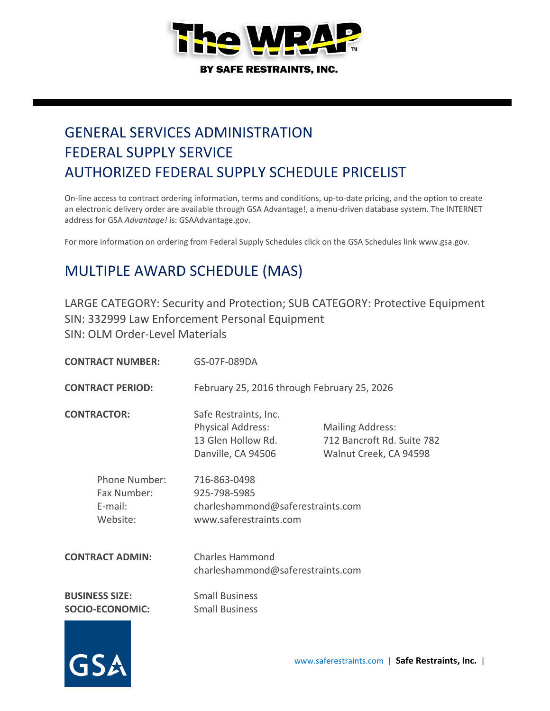

# GENERAL SERVICES ADMINISTRATION FEDERAL SUPPLY SERVICE AUTHORIZED FEDERAL SUPPLY SCHEDULE PRICELIST

On-line access to contract ordering information, terms and conditions, up-to-date pricing, and the option to create an electronic delivery order are available through GSA Advantage!, a menu-driven database system. The INTERNET address for GSA *Advantage!* is: GSAAdvantage.gov.

For more information on ordering from Federal Supply Schedules click on the GSA Schedules link www.gsa.gov.

## MULTIPLE AWARD SCHEDULE (MAS)

LARGE CATEGORY: Security and Protection; SUB CATEGORY: Protective Equipment SIN: 332999 Law Enforcement Personal Equipment SIN: OLM Order-Level Materials

| <b>CONTRACT NUMBER:</b>                             |                                                 | GS-07F-089DA                                                                                  |                                                                                 |  |
|-----------------------------------------------------|-------------------------------------------------|-----------------------------------------------------------------------------------------------|---------------------------------------------------------------------------------|--|
| <b>CONTRACT PERIOD:</b>                             |                                                 | February 25, 2016 through February 25, 2026                                                   |                                                                                 |  |
|                                                     | <b>CONTRACTOR:</b>                              | Safe Restraints, Inc.<br><b>Physical Address:</b><br>13 Glen Hollow Rd.<br>Danville, CA 94506 | <b>Mailing Address:</b><br>712 Bancroft Rd. Suite 782<br>Walnut Creek, CA 94598 |  |
| Phone Number:<br>Fax Number:<br>E-mail:<br>Website: |                                                 | 716-863-0498<br>925-798-5985<br>charleshammond@saferestraints.com<br>www.saferestraints.com   |                                                                                 |  |
| <b>CONTRACT ADMIN:</b>                              |                                                 | <b>Charles Hammond</b><br>charleshammond@saferestraints.com                                   |                                                                                 |  |
|                                                     | <b>BUSINESS SIZE:</b><br><b>SOCIO-ECONOMIC:</b> | <b>Small Business</b><br><b>Small Business</b>                                                |                                                                                 |  |

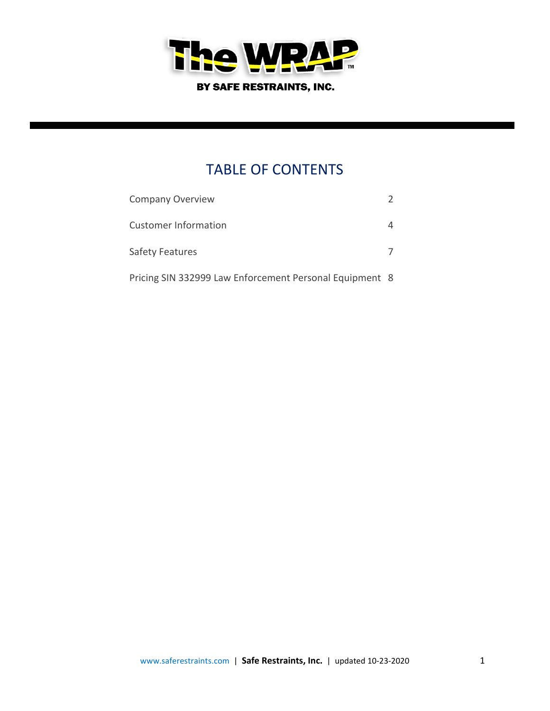

## TABLE OF CONTENTS

| <b>Company Overview</b>                                 |  |
|---------------------------------------------------------|--|
| Customer Information                                    |  |
| <b>Safety Features</b>                                  |  |
| Pricing SIN 332999 Law Enforcement Personal Equipment 8 |  |

www.saferestraints.com | **Safe Restraints, Inc.** | updated 10-23-2020 1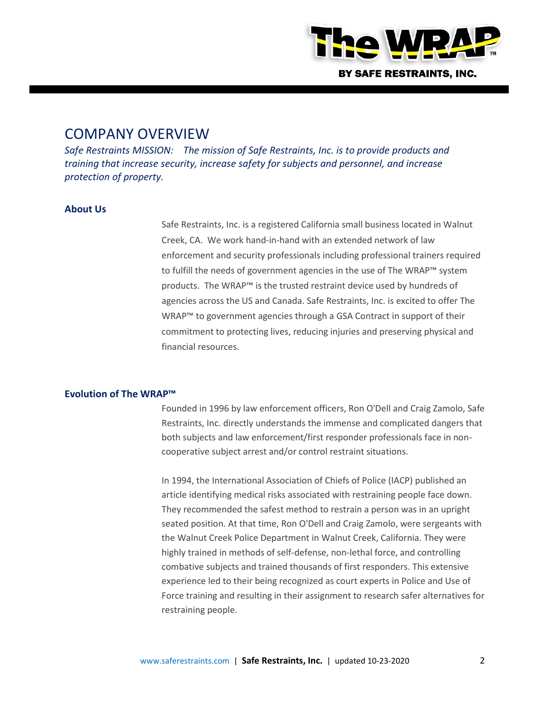

### COMPANY OVERVIEW

*Safe Restraints MISSION: The mission of Safe Restraints, Inc. is to provide products and training that increase security, increase safety for subjects and personnel, and increase protection of property.* 

### **About Us**

Safe Restraints, Inc. is a registered California small business located in Walnut Creek, CA. We work hand-in-hand with an extended network of law enforcement and security professionals including professional trainers required to fulfill the needs of government agencies in the use of The WRAP™ system products. The WRAP™ is the trusted restraint device used by hundreds of agencies across the US and Canada. Safe Restraints, Inc. is excited to offer The WRAP™ to government agencies through a GSA Contract in support of their commitment to protecting lives, reducing injuries and preserving physical and financial resources.

#### **Evolution of The WRAP™**

Founded in 1996 by law enforcement officers, Ron O'Dell and Craig Zamolo, Safe Restraints, Inc. directly understands the immense and complicated dangers that both subjects and law enforcement/first responder professionals face in noncooperative subject arrest and/or control restraint situations.

In 1994, the International Association of Chiefs of Police (IACP) published an article identifying medical risks associated with restraining people face down. They recommended the safest method to restrain a person was in an upright seated position. At that time, Ron O'Dell and Craig Zamolo, were sergeants with the Walnut Creek Police Department in Walnut Creek, California. They were highly trained in methods of self-defense, non-lethal force, and controlling combative subjects and trained thousands of first responders. This extensive experience led to their being recognized as court experts in Police and Use of Force training and resulting in their assignment to research safer alternatives for restraining people.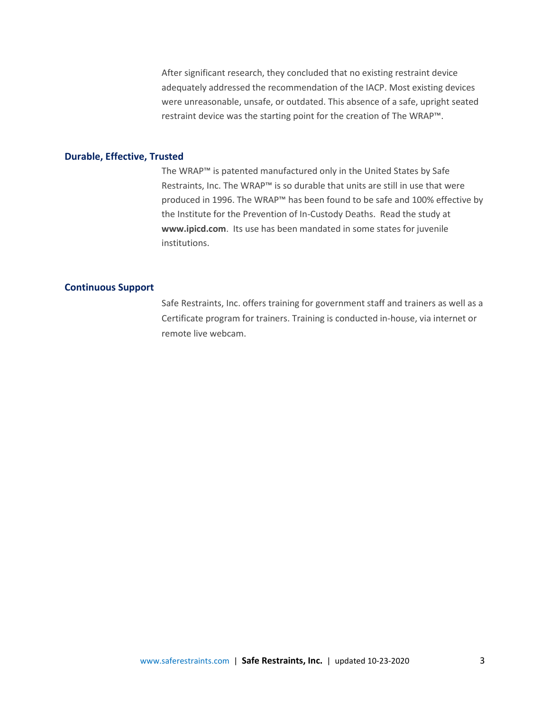After significant research, they concluded that no existing restraint device adequately addressed the recommendation of the IACP. Most existing devices were unreasonable, unsafe, or outdated. This absence of a safe, upright seated restraint device was the starting point for the creation of The WRAP™.

#### **Durable, Effective, Trusted**

The WRAP™ is patented manufactured only in the United States by Safe Restraints, Inc. The WRAP™ is so durable that units are still in use that were produced in 1996. The WRAP™ has been found to be safe and 100% effective by the Institute for the Prevention of In-Custody Deaths. Read the study at **[www.ipicd.com](http://www.ipicd.com/)**. Its use has been mandated in some states for juvenile institutions.

#### **Continuous Support**

Safe Restraints, Inc. offers training for government staff and trainers as well as a Certificate program for trainers. Training is conducted in-house, via internet or remote live webcam.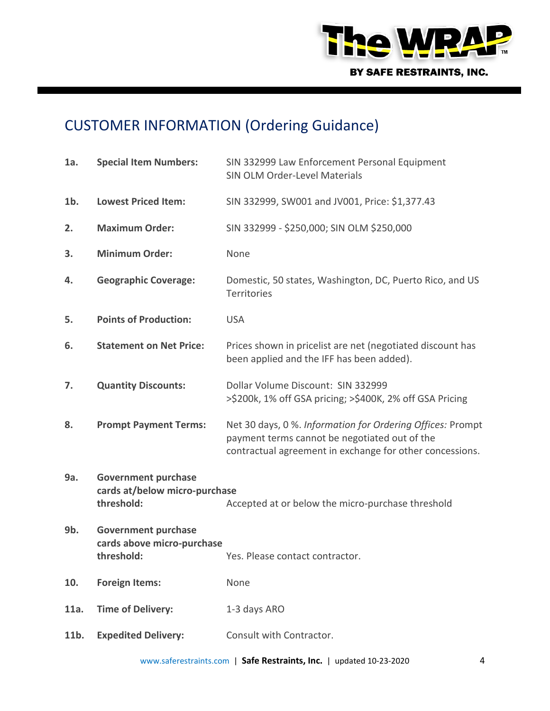

# CUSTOMER INFORMATION (Ordering Guidance)

| 1a.    | <b>Special Item Numbers:</b>                                              | SIN 332999 Law Enforcement Personal Equipment<br>SIN OLM Order-Level Materials                                                                                          |
|--------|---------------------------------------------------------------------------|-------------------------------------------------------------------------------------------------------------------------------------------------------------------------|
| $1b$ . | <b>Lowest Priced Item:</b>                                                | SIN 332999, SW001 and JV001, Price: \$1,377.43                                                                                                                          |
| 2.     | <b>Maximum Order:</b>                                                     | SIN 332999 - \$250,000; SIN OLM \$250,000                                                                                                                               |
| 3.     | <b>Minimum Order:</b>                                                     | None                                                                                                                                                                    |
| 4.     | <b>Geographic Coverage:</b>                                               | Domestic, 50 states, Washington, DC, Puerto Rico, and US<br>Territories                                                                                                 |
| 5.     | <b>Points of Production:</b>                                              | <b>USA</b>                                                                                                                                                              |
| 6.     | <b>Statement on Net Price:</b>                                            | Prices shown in pricelist are net (negotiated discount has<br>been applied and the IFF has been added).                                                                 |
| 7.     | <b>Quantity Discounts:</b>                                                | Dollar Volume Discount: SIN 332999<br>>\$200k, 1% off GSA pricing; >\$400K, 2% off GSA Pricing                                                                          |
| 8.     | <b>Prompt Payment Terms:</b>                                              | Net 30 days, 0 %. Information for Ordering Offices: Prompt<br>payment terms cannot be negotiated out of the<br>contractual agreement in exchange for other concessions. |
| 9a.    | <b>Government purchase</b><br>cards at/below micro-purchase<br>threshold: | Accepted at or below the micro-purchase threshold                                                                                                                       |
| 9b.    | <b>Government purchase</b><br>cards above micro-purchase<br>threshold:    | Yes. Please contact contractor.                                                                                                                                         |
| 10.    | <b>Foreign Items:</b>                                                     | None                                                                                                                                                                    |
| 11a.   | <b>Time of Delivery:</b>                                                  | 1-3 days ARO                                                                                                                                                            |
| 11b.   | <b>Expedited Delivery:</b>                                                | Consult with Contractor.                                                                                                                                                |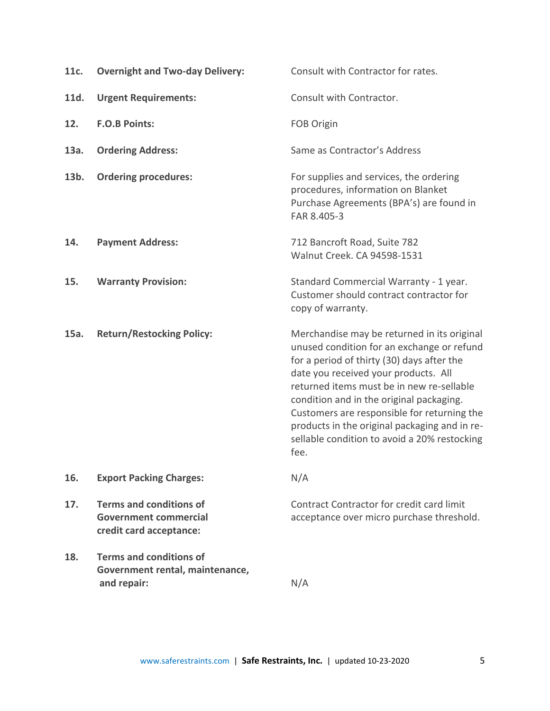| 11c. | <b>Overnight and Two-day Delivery:</b>                                                    | Consult with Contractor for rates.                                                                                                                                                                                                                                                                                                                                                                                               |  |
|------|-------------------------------------------------------------------------------------------|----------------------------------------------------------------------------------------------------------------------------------------------------------------------------------------------------------------------------------------------------------------------------------------------------------------------------------------------------------------------------------------------------------------------------------|--|
| 11d. | <b>Urgent Requirements:</b>                                                               | Consult with Contractor.                                                                                                                                                                                                                                                                                                                                                                                                         |  |
| 12.  | <b>F.O.B Points:</b>                                                                      | FOB Origin                                                                                                                                                                                                                                                                                                                                                                                                                       |  |
| 13a. | <b>Ordering Address:</b>                                                                  | Same as Contractor's Address                                                                                                                                                                                                                                                                                                                                                                                                     |  |
| 13b. | <b>Ordering procedures:</b>                                                               | For supplies and services, the ordering<br>procedures, information on Blanket<br>Purchase Agreements (BPA's) are found in<br>FAR 8.405-3                                                                                                                                                                                                                                                                                         |  |
| 14.  | <b>Payment Address:</b>                                                                   | 712 Bancroft Road, Suite 782<br>Walnut Creek, CA 94598-1531                                                                                                                                                                                                                                                                                                                                                                      |  |
| 15.  | <b>Warranty Provision:</b>                                                                | Standard Commercial Warranty - 1 year.<br>Customer should contract contractor for<br>copy of warranty.                                                                                                                                                                                                                                                                                                                           |  |
| 15a. | <b>Return/Restocking Policy:</b>                                                          | Merchandise may be returned in its original<br>unused condition for an exchange or refund<br>for a period of thirty (30) days after the<br>date you received your products. All<br>returned items must be in new re-sellable<br>condition and in the original packaging.<br>Customers are responsible for returning the<br>products in the original packaging and in re-<br>sellable condition to avoid a 20% restocking<br>fee. |  |
| 16.  | <b>Export Packing Charges:</b>                                                            | N/A                                                                                                                                                                                                                                                                                                                                                                                                                              |  |
| 17.  | <b>Terms and conditions of</b><br><b>Government commercial</b><br>credit card acceptance: | Contract Contractor for credit card limit<br>acceptance over micro purchase threshold.                                                                                                                                                                                                                                                                                                                                           |  |
| 18.  | <b>Terms and conditions of</b><br>Government rental, maintenance,<br>and repair:          | N/A                                                                                                                                                                                                                                                                                                                                                                                                                              |  |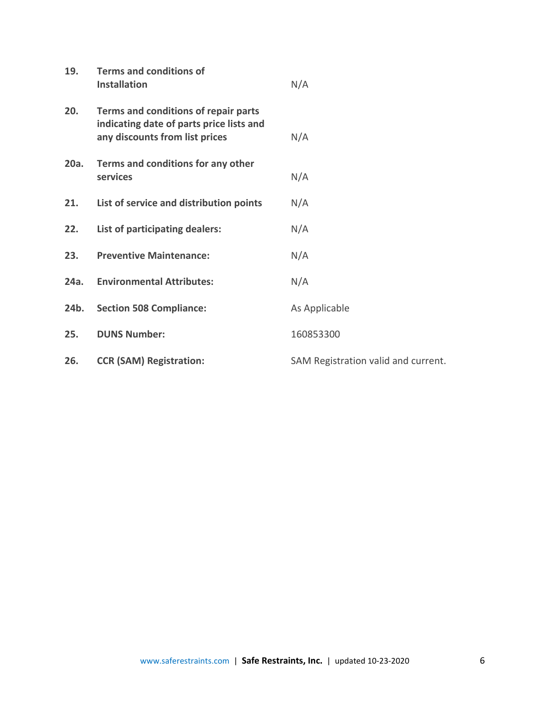| 19.  | <b>Terms and conditions of</b><br><b>Installation</b>                                                              | N/A                                 |
|------|--------------------------------------------------------------------------------------------------------------------|-------------------------------------|
| 20.  | Terms and conditions of repair parts<br>indicating date of parts price lists and<br>any discounts from list prices | N/A                                 |
| 20a. | Terms and conditions for any other<br>services                                                                     | N/A                                 |
| 21.  | List of service and distribution points                                                                            | N/A                                 |
| 22.  | List of participating dealers:                                                                                     | N/A                                 |
| 23.  | <b>Preventive Maintenance:</b>                                                                                     | N/A                                 |
| 24a. | <b>Environmental Attributes:</b>                                                                                   | N/A                                 |
| 24b. | <b>Section 508 Compliance:</b>                                                                                     | As Applicable                       |
| 25.  | <b>DUNS Number:</b>                                                                                                | 160853300                           |
| 26.  | <b>CCR (SAM) Registration:</b>                                                                                     | SAM Registration valid and current. |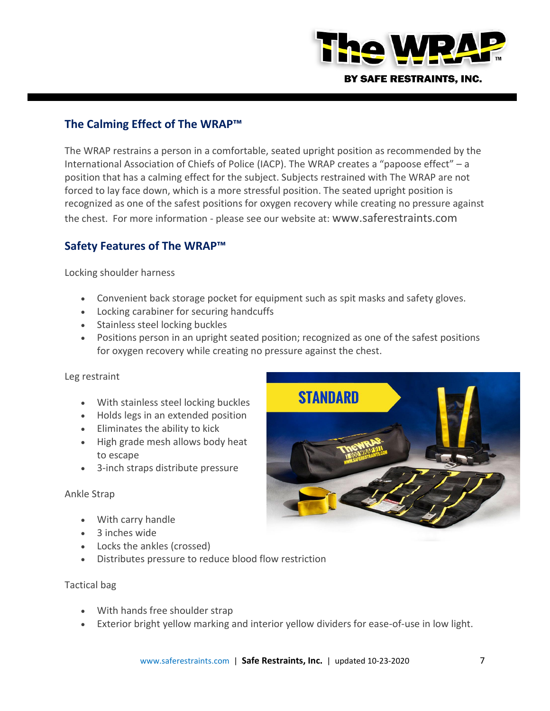

### **The Calming Effect of The WRAP™**

The WRAP restrains a person in a comfortable, seated upright position as recommended by the International Association of Chiefs of Police (IACP). The WRAP creates a "papoose effect" – a position that has a calming effect for the subject. Subjects restrained with The WRAP are not forced to lay face down, which is a more stressful position. The seated upright position is recognized as one of the safest positions for oxygen recovery while creating no pressure against the chest. For more information - please see our website at: www.saferestraints.com

### **Safety Features of The WRAP™**

Locking shoulder harness

- Convenient back storage pocket for equipment such as spit masks and safety gloves.
- Locking carabiner for securing handcuffs
- Stainless steel locking buckles
- Positions person in an upright seated position; recognized as one of the safest positions for oxygen recovery while creating no pressure against the chest.

### Leg restraint

- With stainless steel locking buckles
- Holds legs in an extended position
- Eliminates the ability to kick
- High grade mesh allows body heat to escape
- 3-inch straps distribute pressure

### Ankle Strap

- With carry handle
- 3 inches wide
- Locks the ankles (crossed)
- Distributes pressure to reduce blood flow restriction

### Tactical bag

- With hands free shoulder strap
- Exterior bright yellow marking and interior yellow dividers for ease-of-use in low light.